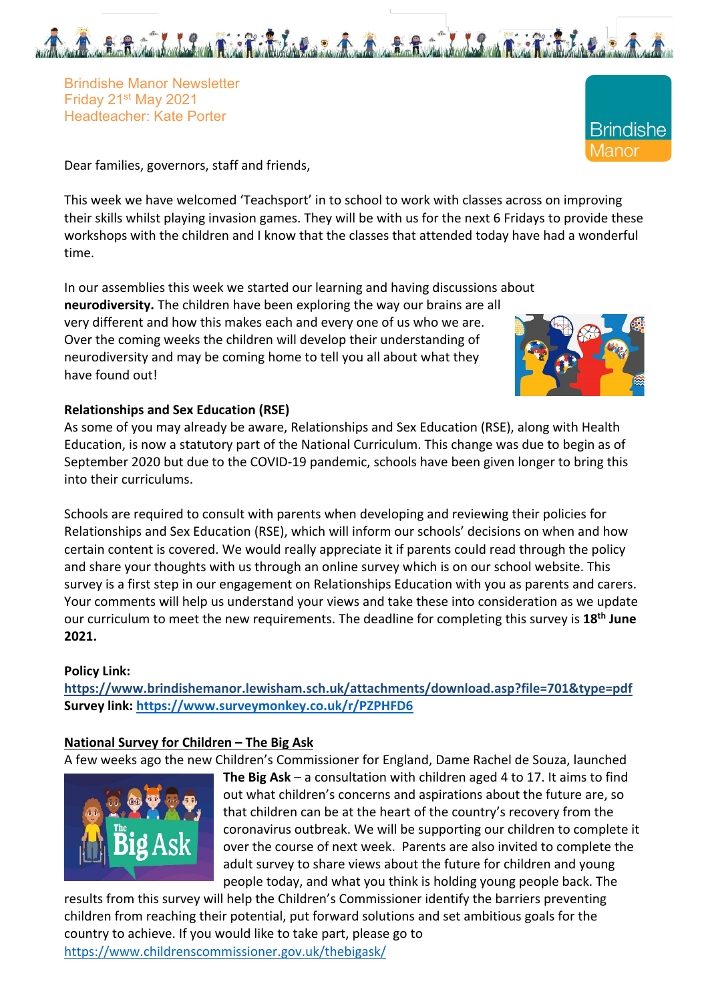

Brindishe Manor Newsletter Friday 21st May 2021 Headteacher: Kate Porter

Dear families, governors, staff and friends,

This week we have welcomed 'Teachsport' in to school to work with classes across on improving their skills whilst playing invasion games. They will be with us for the next 6 Fridays to provide these workshops with the children and I know that the classes that attended today have had a wonderful time.

In our assemblies this week we started our learning and having discussions about **neurodiversity.** The children have been exploring the way our brains are all very different and how this makes each and every one of us who we are. Over the coming weeks the children will develop their understanding of neurodiversity and may be coming home to tell you all about what they have found out!



**Brindishe** 

*M*anor

## **Relationships and Sex Education (RSE)**

As some of you may already be aware, Relationships and Sex Education (RSE), along with Health Education, is now a statutory part of the National Curriculum. This change was due to begin as of September 2020 but due to the COVID-19 pandemic, schools have been given longer to bring this into their curriculums.

Schools are required to consult with parents when developing and reviewing their policies for Relationships and Sex Education (RSE), which will inform our schools' decisions on when and how certain content is covered. We would really appreciate it if parents could read through the policy and share your thoughts with us through an online survey which is on our school website. This survey is a first step in our engagement on Relationships Education with you as parents and carers. Your comments will help us understand your views and take these into consideration as we update our curriculum to meet the new requirements. The deadline for completing this survey is **18th June 2021.**

### **Policy Link:**

**https://www.brindishemanor.lewisham.sch.uk/attachments/download.asp?file=701&type=pdf Survey link: https://www.surveymonkey.co.uk/r/PZPHFD6**

### **National Survey for Children – The Big Ask**

A few weeks ago the new Children's Commissioner for England, Dame Rachel de Souza, launched



**The Big Ask** – a consultation with children aged 4 to 17. It aims to find out what children's concerns and aspirations about the future are, so that children can be at the heart of the country's recovery from the coronavirus outbreak. We will be supporting our children to complete it over the course of next week. Parents are also invited to complete the adult survey to share views about the future for children and young people today, and what you think is holding young people back. The

results from this survey will help the Children's Commissioner identify the barriers preventing children from reaching their potential, put forward solutions and set ambitious goals for the country to achieve. If you would like to take part, please go to https://www.childrenscommissioner.gov.uk/thebigask/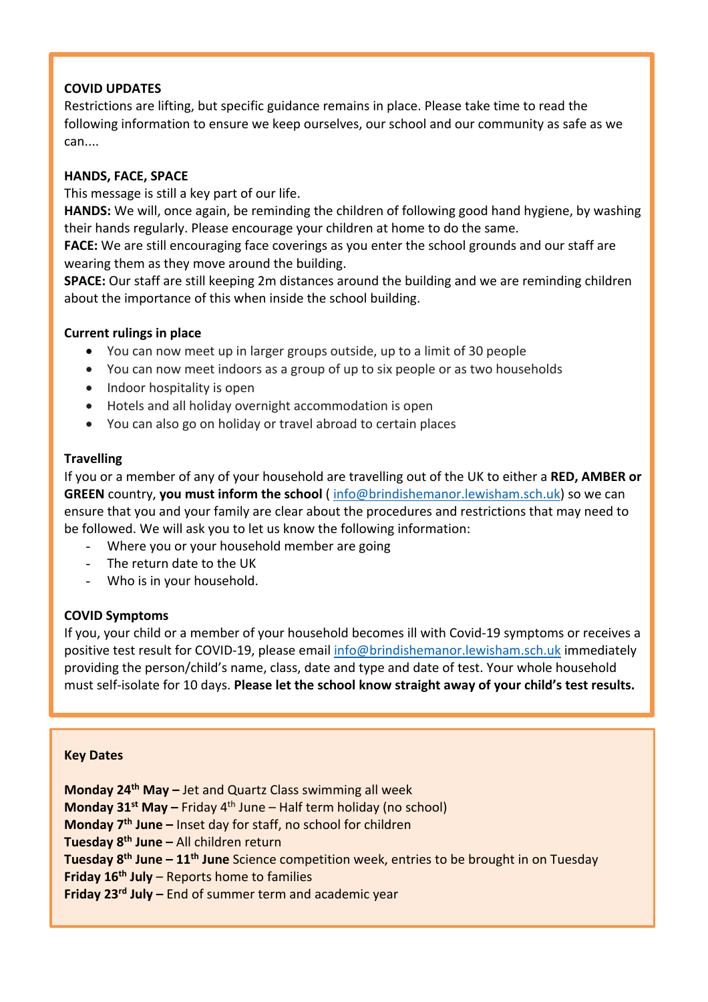## **COVID UPDATES**

Restrictions are lifting, but specific guidance remains in place. Please take time to read the following information to ensure we keep ourselves, our school and our community as safe as we can....

## **HANDS, FACE, SPACE**

This message is still a key part of our life.

**HANDS:** We will, once again, be reminding the children of following good hand hygiene, by washing their hands regularly. Please encourage your children at home to do the same.

**FACE:** We are still encouraging face coverings as you enter the school grounds and our staff are wearing them as they move around the building.

**SPACE:** Our staff are still keeping 2m distances around the building and we are reminding children about the importance of this when inside the school building.

# **Current rulings in place**

- You can now meet up in larger groups outside, up to a limit of 30 people
- You can now meet indoors as a group of up to six people or as two households
- Indoor hospitality is open
- Hotels and all holiday overnight accommodation is open
- You can also go on holiday or travel abroad to certain places

# **Travelling**

If you or a member of any of your household are travelling out of the UK to either a **RED, AMBER or GREEN** country, **you must inform the school** ( info@brindishemanor.lewisham.sch.uk) so we can ensure that you and your family are clear about the procedures and restrictions that may need to be followed. We will ask you to let us know the following information:

- Where you or your household member are going
- The return date to the UK
- Who is in your household.

## **COVID Symptoms**

If you, your child or a member of your household becomes ill with Covid-19 symptoms or receives a positive test result for COVID-19, please email info@brindishemanor.lewisham.sch.uk immediately providing the person/child's name, class, date and type and date of test. Your whole household must self-isolate for 10 days. **Please let the school know straight away of your child's test results.**

## **Key Dates**

**Monday 24th May –** Jet and Quartz Class swimming all week **Monday 31<sup>st</sup> May –** Friday 4<sup>th</sup> June – Half term holiday (no school) **Monday 7th June –** Inset day for staff, no school for children **Tuesday 8th June –** All children return **Tuesday 8th June – 11th June** Science competition week, entries to be brought in on Tuesday **Friday 16th July** – Reports home to families **Friday 23rd July –** End of summer term and academic year